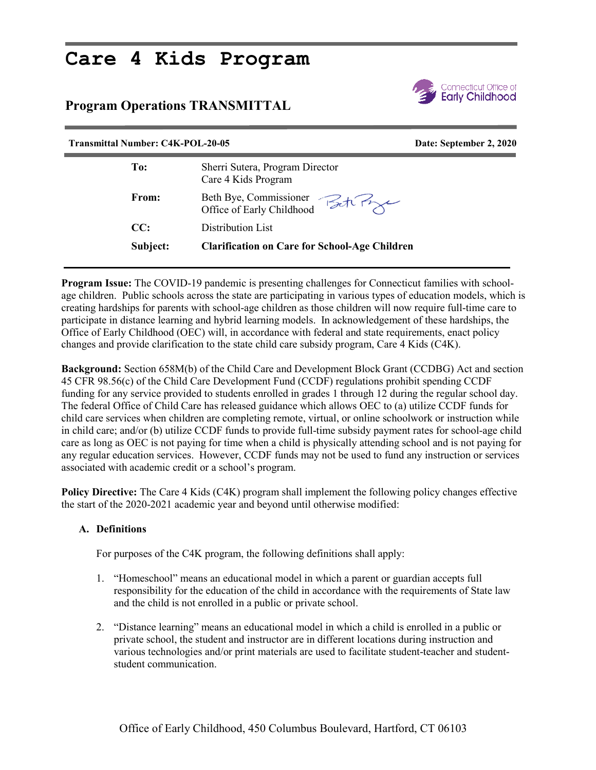## **Care 4 Kids Program**

## **Program Operations TRANSMITTAL**



| <b>Transmittal Number: C4K-POL-20-05</b> |                                                        | Date: September 2, 2020 |
|------------------------------------------|--------------------------------------------------------|-------------------------|
| To:                                      | Sherri Sutera, Program Director<br>Care 4 Kids Program |                         |
| From:                                    | Beth Bye, Commissioner<br>Office of Early Childhood    |                         |
| CC:                                      | Distribution List                                      |                         |
| Subject:                                 | <b>Clarification on Care for School-Age Children</b>   |                         |

**Program Issue:** The COVID-19 pandemic is presenting challenges for Connecticut families with schoolage children. Public schools across the state are participating in various types of education models, which is creating hardships for parents with school-age children as those children will now require full-time care to participate in distance learning and hybrid learning models. In acknowledgement of these hardships, the Office of Early Childhood (OEC) will, in accordance with federal and state requirements, enact policy changes and provide clarification to the state child care subsidy program, Care 4 Kids (C4K).

**Background:** Section 658M(b) of the Child Care and Development Block Grant (CCDBG) Act and section 45 CFR 98.56(c) of the Child Care Development Fund (CCDF) regulations prohibit spending CCDF funding for any service provided to students enrolled in grades 1 through 12 during the regular school day. The federal Office of Child Care has released guidance which allows OEC to (a) utilize CCDF funds for child care services when children are completing remote, virtual, or online schoolwork or instruction while in child care; and/or (b) utilize CCDF funds to provide full-time subsidy payment rates for school-age child care as long as OEC is not paying for time when a child is physically attending school and is not paying for any regular education services. However, CCDF funds may not be used to fund any instruction or services associated with academic credit or a school's program.

**Policy Directive:** The Care 4 Kids (C4K) program shall implement the following policy changes effective the start of the 2020-2021 academic year and beyond until otherwise modified:

## **A. Definitions**

For purposes of the C4K program, the following definitions shall apply:

- 1. "Homeschool" means an educational model in which a parent or guardian accepts full responsibility for the education of the child in accordance with the requirements of State law and the child is not enrolled in a public or private school.
- 2. "Distance learning" means an educational model in which a child is enrolled in a public or private school, the student and instructor are in different locations during instruction and various technologies and/or print materials are used to facilitate student-teacher and studentstudent communication.